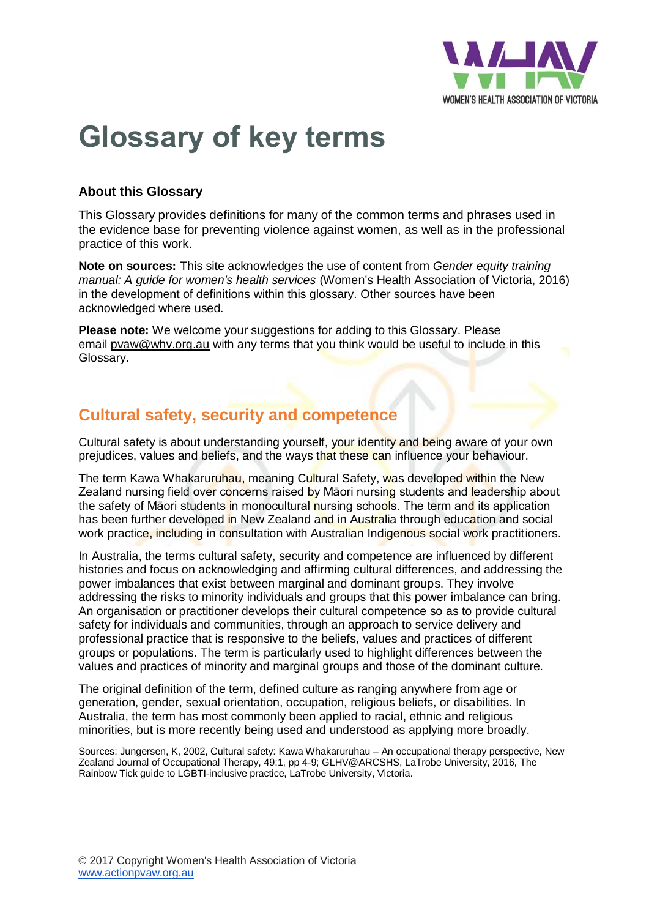

# **Glossary of key terms**

#### **About this Glossary**

This Glossary provides definitions for many of the common terms and phrases used in the evidence base for preventing violence against women, as well as in the professional practice of this work.

**Note on sources:** This site acknowledges the use of content from *Gender equity training manual: A guide for women's health services* (Women's Health Association of Victoria, 2016) in the development of definitions within this glossary. Other sources have been acknowledged where used.

**Please note:** We welcome your suggestions for adding to this Glossary. Please email [pvaw@whv.org.au](mailto:pvaw@whv.org.au) with any terms that you think would be useful to include in this Glossary.

### **Cultural safety, security and competence**

Cultural safety is about understanding yourself, your identity and being aware of your own prejudices, values and beliefs, and the ways that these can influence your behaviour.

The term Kawa Whakaruruhau, meaning Cultural Safety, was developed within the New Zealand nursing field over concerns raised by Māori nursing students and leadership about the safety of Māori students in monocultural nursing schools. The term and its application has been further developed in New Zealand and in Australia through education and social work practice, including in consultation with Australian Indigenous social work practitioners.

In Australia, the terms cultural safety, security and competence are influenced by different histories and focus on acknowledging and affirming cultural differences, and addressing the power imbalances that exist between marginal and dominant groups. They involve addressing the risks to minority individuals and groups that this power imbalance can bring. An organisation or practitioner develops their cultural competence so as to provide cultural safety for individuals and communities, through an approach to service delivery and professional practice that is responsive to the beliefs, values and practices of different groups or populations. The term is particularly used to highlight differences between the values and practices of minority and marginal groups and those of the dominant culture.

The original definition of the term, defined culture as ranging anywhere from age or generation, gender, sexual orientation, occupation, religious beliefs, or disabilities. In Australia, the term has most commonly been applied to racial, ethnic and religious minorities, but is more recently being used and understood as applying more broadly.

Sources: Jungersen, K, 2002, Cultural safety: Kawa Whakaruruhau – An occupational therapy perspective, New Zealand Journal of Occupational Therapy, 49:1, pp 4-9; GLHV@ARCSHS, LaTrobe University, 2016, The Rainbow Tick guide to LGBTI-inclusive practice, LaTrobe University, Victoria.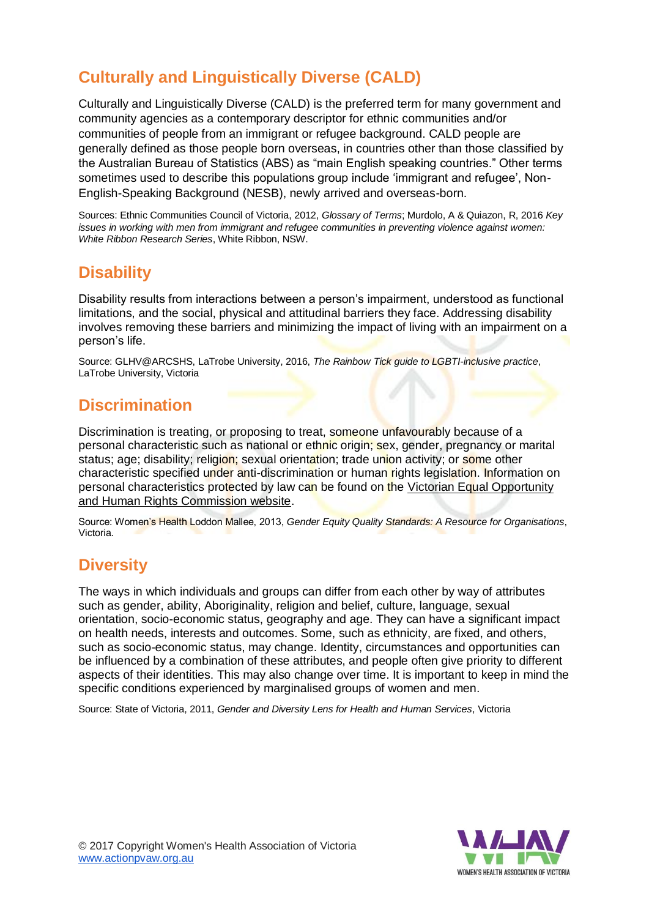## **Culturally and Linguistically Diverse (CALD)**

Culturally and Linguistically Diverse (CALD) is the preferred term for many government and community agencies as a contemporary descriptor for ethnic communities and/or communities of people from an immigrant or refugee background. CALD people are generally defined as those people born overseas, in countries other than those classified by the Australian Bureau of Statistics (ABS) as "main English speaking countries." Other terms sometimes used to describe this populations group include 'immigrant and refugee', Non-English-Speaking Background (NESB), newly arrived and overseas-born.

Sources: Ethnic Communities Council of Victoria, 2012, *Glossary of Terms*; Murdolo, A & Quiazon, R, 2016 *Key issues in working with men from immigrant and refugee communities in preventing violence against women: White Ribbon Research Series*, White Ribbon, NSW.

## **Disability**

Disability results from interactions between a person's impairment, understood as functional limitations, and the social, physical and attitudinal barriers they face. Addressing disability involves removing these barriers and minimizing the impact of living with an impairment on a person's life.

Source: GLHV@ARCSHS, LaTrobe University, 2016, *The Rainbow Tick guide to LGBTI-inclusive practice*, LaTrobe University, Victoria

## **Discrimination**

Discrimination is treating, or proposing to treat, someone unfavourably because of a personal characteristic such as national or ethnic origin; sex, gender, pregnancy or marital status; age; disability; religion; sexual orientation; trade union activity; or some other characteristic specified under anti-discrimination or human rights legislation. Information on personal characteristics protected by law can be found on the Victorian Equal Opportunity [and Human Rights Commission website.](http://www.humanrightscommission.vic.gov.au/)

Source: Women's Health Loddon Mallee, 2013, *Gender Equity Quality Standards: A Resource for Organisations*, Victoria.

## **Diversity**

The ways in which individuals and groups can differ from each other by way of attributes such as gender, ability, Aboriginality, religion and belief, culture, language, sexual orientation, socio-economic status, geography and age. They can have a significant impact on health needs, interests and outcomes. Some, such as ethnicity, are fixed, and others, such as socio-economic status, may change. Identity, circumstances and opportunities can be influenced by a combination of these attributes, and people often give priority to different aspects of their identities. This may also change over time. It is important to keep in mind the specific conditions experienced by marginalised groups of women and men.

Source: State of Victoria, 2011, *Gender and Diversity Lens for Health and Human Services*, Victoria

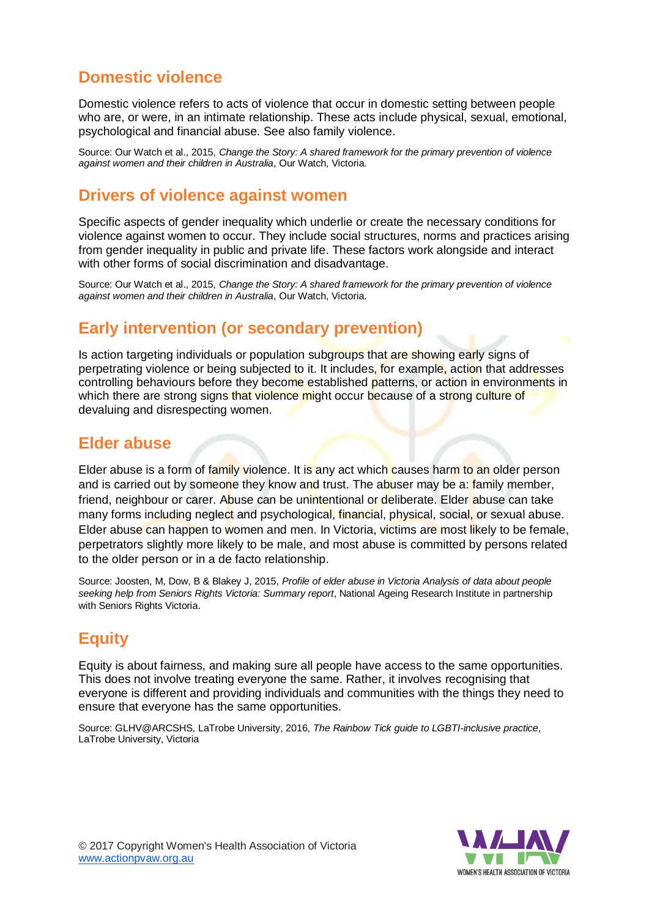## **Domestic violence**

Domestic violence refers to acts of violence that occur in domestic setting between people who are, or were, in an intimate relationship. These acts include physical, sexual, emotional, psychological and financial abuse. See also family violence.

Source: Our Watch et al., 2015, *Change the Story: A shared framework for the primary prevention of violence against women and their children in Australia*, Our Watch, Victoria.

### **Drivers of violence against women**

Specific aspects of gender inequality which underlie or create the necessary conditions for violence against women to occur. They include social structures, norms and practices arising from gender inequality in public and private life. These factors work alongside and interact with other forms of social discrimination and disadvantage.

Source: Our Watch et al., 2015, *Change the Story: A shared framework for the primary prevention of violence against women and their children in Australia*, Our Watch, Victoria.

#### **Early intervention (or secondary prevention)**

Is action targeting individuals or population subgroups that are showing early signs of perpetrating violence or being subjected to it. It includes, for example, action that addresses controlling behaviours before they become established patterns, or action in environments in which there are strong signs that violence might occur because of a strong culture of devaluing and disrespecting women.

### **Elder abuse**

Elder abuse is a form of family violence. It is any act which causes harm to an older person and is carried out by someone they know and trust. The abuser may be a: family member, friend, neighbour or carer. Abuse can be unintentional or deliberate. Elder abuse can take many forms including neglect and psychological, financial, physical, social, or sexual abuse. Elder abuse can happen to women and men. In Victoria, victims are most likely to be female, perpetrators slightly more likely to be male, and most abuse is committed by persons related to the older person or in a de facto relationship.

Source: Joosten, M, Dow, B & Blakey J, 2015, *Profile of elder abuse in Victoria Analysis of data about people seeking help from Seniors Rights Victoria: Summary report*, National Ageing Research Institute in partnership with Seniors Rights Victoria.

## **Equity**

Equity is about fairness, and making sure all people have access to the same opportunities. This does not involve treating everyone the same. Rather, it involves recognising that everyone is different and providing individuals and communities with the things they need to ensure that everyone has the same opportunities.

Source: GLHV@ARCSHS, LaTrobe University, 2016, *The Rainbow Tick guide to LGBTI-inclusive practice*, LaTrobe University, Victoria



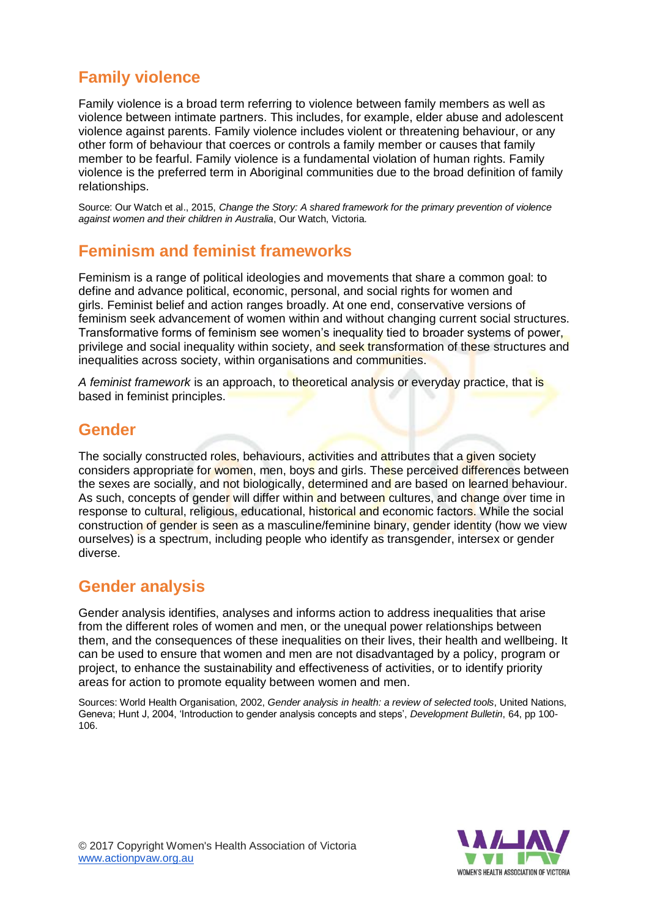## **Family violence**

Family violence is a broad term referring to violence between family members as well as violence between intimate partners. This includes, for example, elder abuse and adolescent violence against parents. Family violence includes violent or threatening behaviour, or any other form of behaviour that coerces or controls a family member or causes that family member to be fearful. Family violence is a fundamental violation of human rights. Family violence is the preferred term in Aboriginal communities due to the broad definition of family relationships.

Source: Our Watch et al., 2015, *Change the Story: A shared framework for the primary prevention of violence against women and their children in Australia*, Our Watch, Victoria.

## **Feminism and feminist frameworks**

Feminism is a range of political ideologies and movements that share a common goal: to define and advance political, economic, personal, and social rights for women and girls. Feminist belief and action ranges broadly. At one end, conservative versions of feminism seek advancement of women within and without changing current social structures. Transformative forms of feminism see women's inequality tied to broader systems of power, privilege and social inequality within society, and seek transformation of these structures and inequalities across society, within organisations and communities.

*A feminist framework* is an approach, to theoretical analysis or everyday practice, that is based in feminist principles.

### **Gender**

The socially constructed roles, behaviours, activities and attributes that a given society considers appropriate for women, men, boys and girls. These perceived differences between the sexes are socially, and not biologically, determined and are based on learned behaviour. As such, concepts of gender will differ within and between cultures, and change over time in response to cultural, religious, educational, historical and economic factors. While the social construction of gender is seen as a masculine/feminine binary, gender identity (how we view ourselves) is a spectrum, including people who identify as transgender, intersex or gender diverse.

### **Gender analysis**

Gender analysis identifies, analyses and informs action to address inequalities that arise from the different roles of women and men, or the unequal power relationships between them, and the consequences of these inequalities on their lives, their health and wellbeing. It can be used to ensure that women and men are not disadvantaged by a policy, program or project, to enhance the sustainability and effectiveness of activities, or to identify priority areas for action to promote equality between women and men.

Sources: World Health Organisation, 2002, *Gender analysis in health: a review of selected tools*, United Nations, Geneva; Hunt J, 2004, 'Introduction to gender analysis concepts and steps', *Development Bulletin*, 64, pp 100- 106.



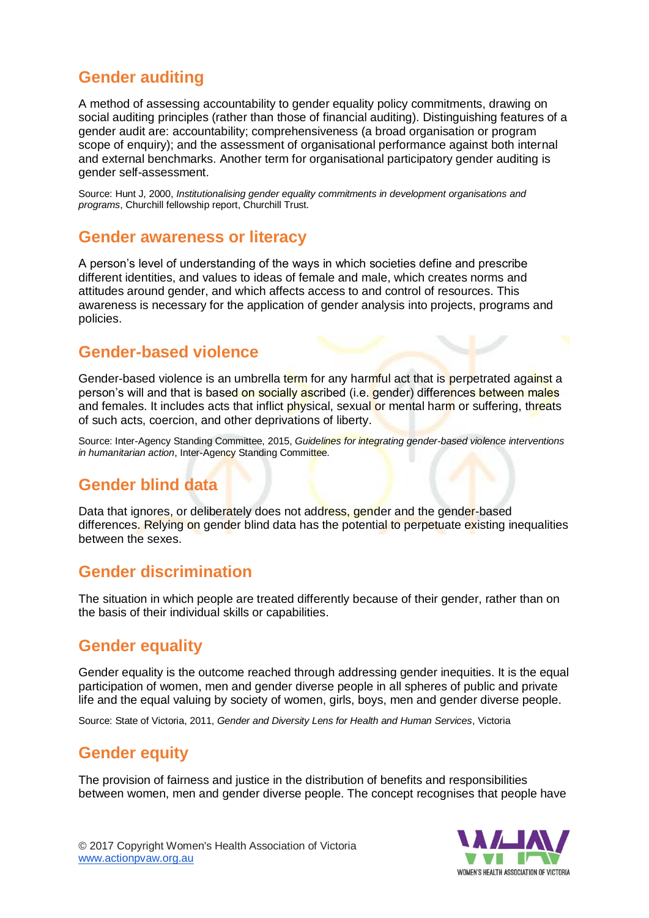## **Gender auditing**

A method of assessing accountability to gender equality policy commitments, drawing on social auditing principles (rather than those of financial auditing). Distinguishing features of a gender audit are: accountability; comprehensiveness (a broad organisation or program scope of enquiry); and the assessment of organisational performance against both internal and external benchmarks. Another term for organisational participatory gender auditing is gender self-assessment.

Source: Hunt J, 2000, *Institutionalising gender equality commitments in development organisations and programs*, Churchill fellowship report, Churchill Trust.

#### **Gender awareness or literacy**

A person's level of understanding of the ways in which societies define and prescribe different identities, and values to ideas of female and male, which creates norms and attitudes around gender, and which affects access to and control of resources. This awareness is necessary for the application of gender analysis into projects, programs and policies.

### **Gender-based violence**

Gender-based violence is an umbrella term for any harmful act that is perpetrated against a person's will and that is based on socially ascribed (i.e. gender) differences between males and females. It includes acts that inflict physical, sexual or mental harm or suffering, threats of such acts, coercion, and other deprivations of liberty.

Source: Inter-Agency Standing Committee, 2015, *Guidelines for integrating gender-based violence interventions in humanitarian action*, Inter-Agency Standing Committee.

## **Gender blind data**

Data that ignores, or deliberately does not address, gender and the gender-based differences. Relying on gender blind data has the potential to perpetuate existing inequalities between the sexes.

## **Gender discrimination**

The situation in which people are treated differently because of their gender, rather than on the basis of their individual skills or capabilities.

## **Gender equality**

Gender equality is the outcome reached through addressing gender inequities. It is the equal participation of women, men and gender diverse people in all spheres of public and private life and the equal valuing by society of women, girls, boys, men and gender diverse people.

Source: State of Victoria, 2011, *Gender and Diversity Lens for Health and Human Services*, Victoria

## **Gender equity**

The provision of fairness and justice in the distribution of benefits and responsibilities between women, men and gender diverse people. The concept recognises that people have

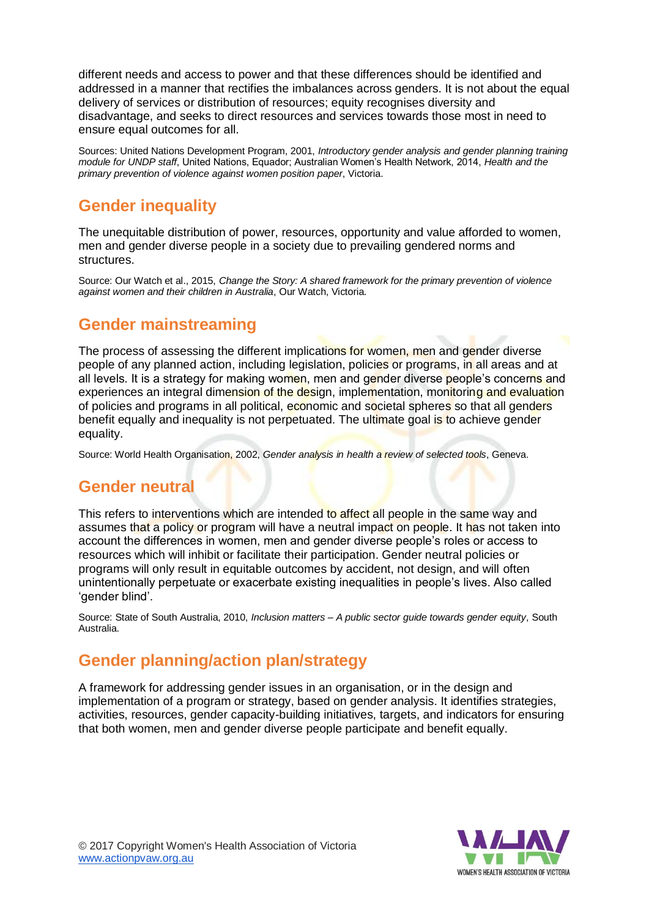different needs and access to power and that these differences should be identified and addressed in a manner that rectifies the imbalances across genders. It is not about the equal delivery of services or distribution of resources; equity recognises diversity and disadvantage, and seeks to direct resources and services towards those most in need to ensure equal outcomes for all.

Sources: United Nations Development Program, 2001, *Introductory gender analysis and gender planning training module for UNDP staff*, United Nations, Equador; Australian Women's Health Network, 2014, *Health and the primary prevention of violence against women position paper*, Victoria.

## **Gender inequality**

The unequitable distribution of power, resources, opportunity and value afforded to women, men and gender diverse people in a society due to prevailing gendered norms and structures.

Source: Our Watch et al., 2015, *Change the Story: A shared framework for the primary prevention of violence against women and their children in Australia*, Our Watch, Victoria.

## **Gender mainstreaming**

The process of assessing the different implications for women, men and gender diverse people of any planned action, including legislation, policies or programs, in all areas and at all levels. It is a strategy for making women, men and gender diverse people's concerns and experiences an integral dimension of the design, implementation, monitoring and evaluation of policies and programs in all political, economic and societal spheres so that all genders benefit equally and inequality is not perpetuated. The ultimate goal is to achieve gender equality.

Source: World Health Organisation, 2002, *Gender analysis in health a review of selected tools*, Geneva.

### **Gender neutral**

This refers to interventions which are intended to affect all people in the same way and assumes that a policy or program will have a neutral impact on people. It has not taken into account the differences in women, men and gender diverse people's roles or access to resources which will inhibit or facilitate their participation. Gender neutral policies or programs will only result in equitable outcomes by accident, not design, and will often unintentionally perpetuate or exacerbate existing inequalities in people's lives. Also called 'gender blind'.

Source: State of South Australia, 2010, *Inclusion matters – A public sector guide towards gender equity*, South Australia.

## **Gender planning/action plan/strategy**

A framework for addressing gender issues in an organisation, or in the design and implementation of a program or strategy, based on gender analysis. It identifies strategies, activities, resources, gender capacity-building initiatives, targets, and indicators for ensuring that both women, men and gender diverse people participate and benefit equally.



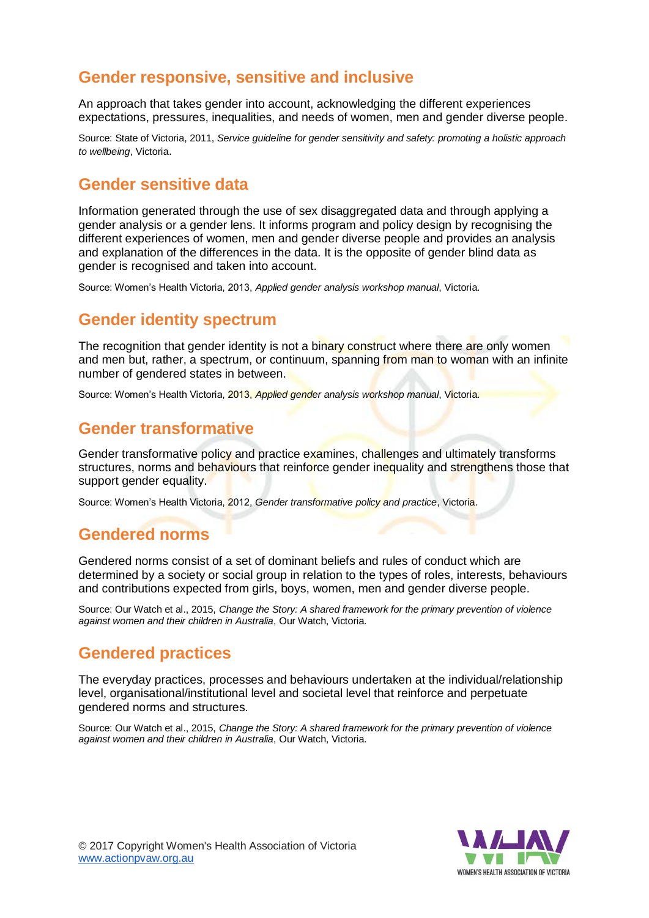## **Gender responsive, sensitive and inclusive**

An approach that takes gender into account, acknowledging the different experiences expectations, pressures, inequalities, and needs of women, men and gender diverse people.

Source: State of Victoria, 2011, *Service guideline for gender sensitivity and safety: promoting a holistic approach to wellbeing*, Victoria.

#### **Gender sensitive data**

Information generated through the use of sex disaggregated data and through applying a gender analysis or a gender lens. It informs program and policy design by recognising the different experiences of women, men and gender diverse people and provides an analysis and explanation of the differences in the data. It is the opposite of gender blind data as gender is recognised and taken into account.

Source: Women's Health Victoria, 2013, *Applied gender analysis workshop manual*, Victoria.

#### **Gender identity spectrum**

The recognition that gender identity is not a binary construct where there are only women and men but, rather, a spectrum, or continuum, spanning from man to woman with an infinite number of gendered states in between.

Source: Women's Health Victoria, 2013, *Applied gender analysis workshop manual*, Victoria.

#### **Gender transformative**

Gender transformative policy and practice examines, challenges and ultimately transforms structures, norms and behaviours that reinforce gender inequality and strengthens those that support gender equality.

Source: Women's Health Victoria, 2012, *Gender transformative policy and practice*, Victoria.

### **Gendered norms**

Gendered norms consist of a set of dominant beliefs and rules of conduct which are determined by a society or social group in relation to the types of roles, interests, behaviours and contributions expected from girls, boys, women, men and gender diverse people.

Source: Our Watch et al., 2015, *Change the Story: A shared framework for the primary prevention of violence against women and their children in Australia*, Our Watch, Victoria.

#### **Gendered practices**

The everyday practices, processes and behaviours undertaken at the individual/relationship level, organisational/institutional level and societal level that reinforce and perpetuate gendered norms and structures.

Source: Our Watch et al., 2015, *Change the Story: A shared framework for the primary prevention of violence against women and their children in Australia*, Our Watch, Victoria.



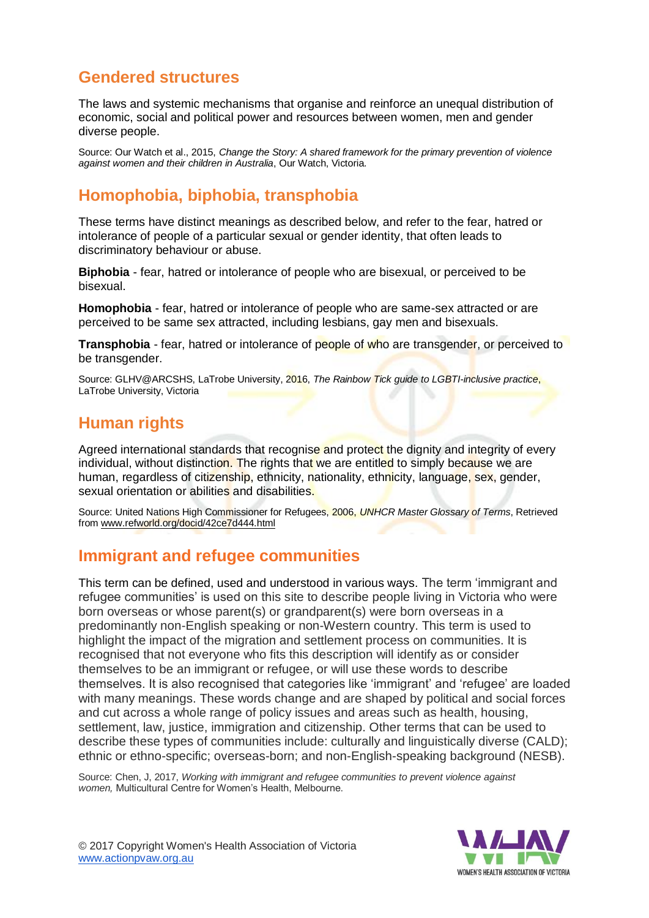## **Gendered structures**

The laws and systemic mechanisms that organise and reinforce an unequal distribution of economic, social and political power and resources between women, men and gender diverse people.

Source: Our Watch et al., 2015, *Change the Story: A shared framework for the primary prevention of violence against women and their children in Australia*, Our Watch, Victoria.

## **Homophobia, biphobia, transphobia**

These terms have distinct meanings as described below, and refer to the fear, hatred or intolerance of people of a particular sexual or gender identity, that often leads to discriminatory behaviour or abuse.

**Biphobia** - fear, hatred or intolerance of people who are bisexual, or perceived to be bisexual.

**Homophobia** - fear, hatred or intolerance of people who are same-sex attracted or are perceived to be same sex attracted, including lesbians, gay men and bisexuals.

**Transphobia** - fear, hatred or intolerance of people of who are transgender, or perceived to be transgender.

Source: GLHV@ARCSHS, LaTrobe University, 2016, *The Rainbow Tick guide to LGBTI-inclusive practice*, LaTrobe University, Victoria

## **Human rights**

Agreed international standards that recognise and protect the dignity and integrity of every individual, without distinction. The rights that we are entitled to simply because we are human, regardless of citizenship, ethnicity, nationality, ethnicity, language, sex, gender, sexual orientation or abilities and disabilities.

Source: United Nations High Commissioner for Refugees, 2006, *UNHCR Master Glossary of Terms*, Retrieved from [www.refworld.org/docid/42ce7d444.html](http://www.refworld.org/docid/42ce7d444.html)

### **Immigrant and refugee communities**

This term can be defined, used and understood in various ways. The term 'immigrant and refugee communities' is used on this site to describe people living in Victoria who were born overseas or whose parent(s) or grandparent(s) were born overseas in a predominantly non-English speaking or non-Western country. This term is used to highlight the impact of the migration and settlement process on communities. It is recognised that not everyone who fits this description will identify as or consider themselves to be an immigrant or refugee, or will use these words to describe themselves. It is also recognised that categories like 'immigrant' and 'refugee' are loaded with many meanings. These words change and are shaped by political and social forces and cut across a whole range of policy issues and areas such as health, housing, settlement, law, justice, immigration and citizenship. Other terms that can be used to describe these types of communities include: culturally and linguistically diverse (CALD); ethnic or ethno-specific; overseas-born; and non-English-speaking background (NESB).

Source: Chen, J, 2017, *Working with immigrant and refugee communities to prevent violence against women,* Multicultural Centre for Women's Health, Melbourne.

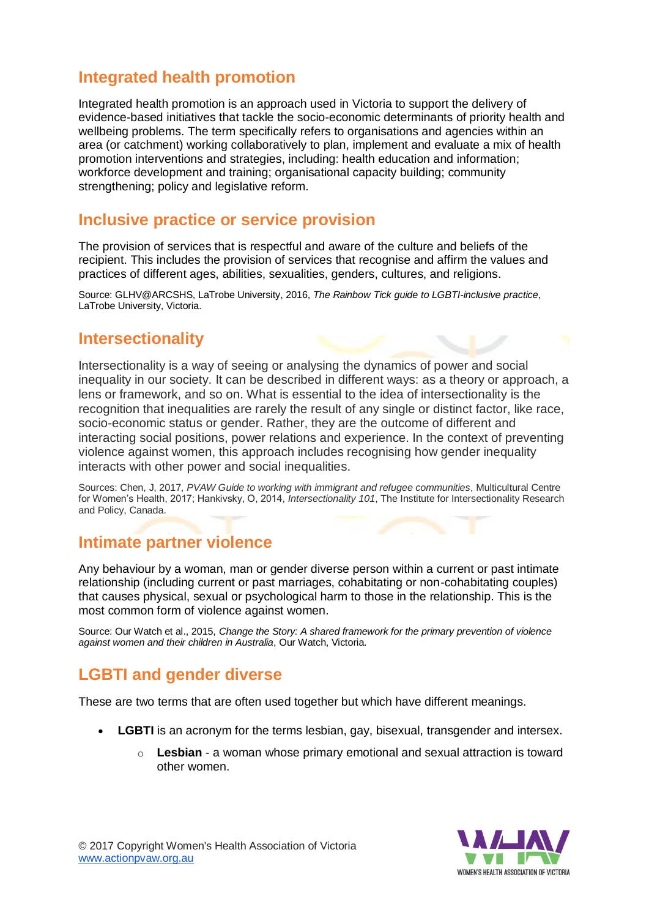## **Integrated health promotion**

Integrated health promotion is an approach used in Victoria to support the delivery of evidence-based initiatives that tackle the socio-economic determinants of priority health and wellbeing problems. The term specifically refers to organisations and agencies within an area (or catchment) working collaboratively to plan, implement and evaluate a mix of health promotion interventions and strategies, including: health education and information; workforce development and training; organisational capacity building; community strengthening; policy and legislative reform.

#### **Inclusive practice or service provision**

The provision of services that is respectful and aware of the culture and beliefs of the recipient. This includes the provision of services that recognise and affirm the values and practices of different ages, abilities, sexualities, genders, cultures, and religions.

Source: GLHV@ARCSHS, LaTrobe University, 2016, *The Rainbow Tick guide to LGBTI-inclusive practice*, LaTrobe University, Victoria.

#### **Intersectionality**

Intersectionality is a way of seeing or analysing the dynamics of power and social inequality in our society. It can be described in different ways: as a theory or approach, a lens or framework, and so on. What is essential to the idea of intersectionality is the recognition that inequalities are rarely the result of any single or distinct factor, like race, socio-economic status or gender. Rather, they are the outcome of different and interacting social positions, power relations and experience. In the context of preventing violence against women, this approach includes recognising how gender inequality interacts with other power and social inequalities.

Sources: Chen, J, 2017, *PVAW Guide to working with immigrant and refugee communities*, Multicultural Centre for Women's Health, 2017; Hankivsky, O, 2014, *Intersectionality 101*, The Institute for Intersectionality Research and Policy, Canada.

#### **Intimate partner violence**

Any behaviour by a woman, man or gender diverse person within a current or past intimate relationship (including current or past marriages, cohabitating or non-cohabitating couples) that causes physical, sexual or psychological harm to those in the relationship. This is the most common form of violence against women.

Source: Our Watch et al., 2015, *Change the Story: A shared framework for the primary prevention of violence against women and their children in Australia*, Our Watch, Victoria.

## **LGBTI and gender diverse**

These are two terms that are often used together but which have different meanings.

- **LGBTI** is an acronym for the terms lesbian, gay, bisexual, transgender and intersex.
	- o **Lesbian** a woman whose primary emotional and sexual attraction is toward other women.



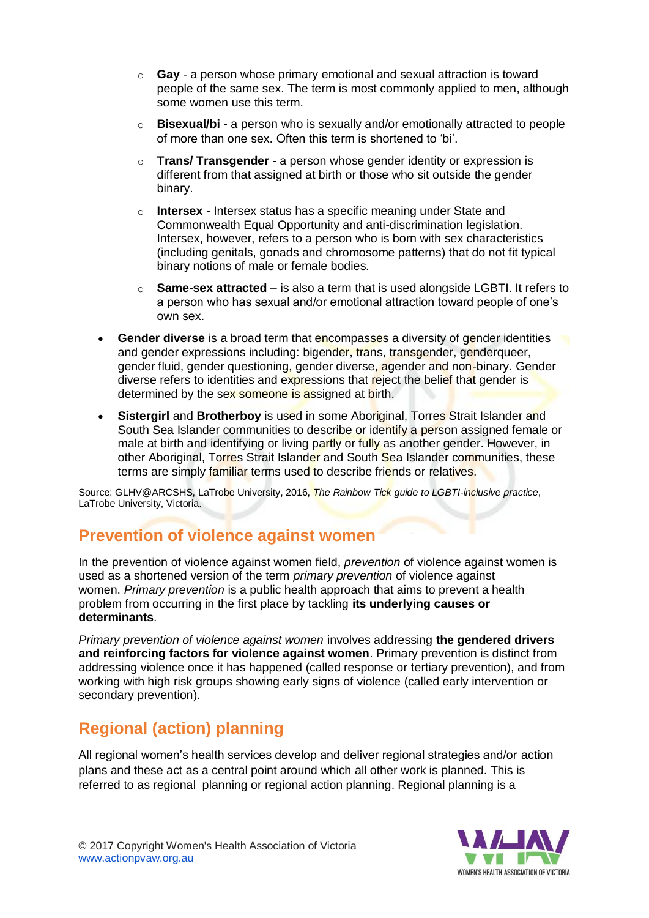- o **Gay** a person whose primary emotional and sexual attraction is toward people of the same sex. The term is most commonly applied to men, although some women use this term.
- o **Bisexual/bi** a person who is sexually and/or emotionally attracted to people of more than one sex. Often this term is shortened to 'bi'.
- o **Trans/ Transgender** a person whose gender identity or expression is different from that assigned at birth or those who sit outside the gender binary.
- o **Intersex** Intersex status has a specific meaning under State and Commonwealth Equal Opportunity and anti-discrimination legislation. Intersex, however, refers to a person who is born with sex characteristics (including genitals, gonads and chromosome patterns) that do not fit typical binary notions of male or female bodies.
- o **Same-sex attracted** is also a term that is used alongside LGBTI. It refers to a person who has sexual and/or emotional attraction toward people of one's own sex.
- **Gender diverse** is a broad term that encompasses a diversity of gender identities and gender expressions including: bigender, trans, transgender, genderqueer, gender fluid, gender questioning, gender diverse, agender and non-binary. Gender diverse refers to identities and expressions that reject the belief that gender is determined by the sex someone is assigned at birth.
- **Sistergirl** and **Brotherboy** is used in some Aboriginal, Torres Strait Islander and South Sea Islander communities to describe or identify a person assigned female or male at birth and identifying or living partly or fully as another gender. However, in other Aboriginal, Torres Strait Islander and South Sea Islander communities, these terms are simply familiar terms used to describe friends or relatives.

Source: GLHV@ARCSHS, LaTrobe University, 2016, *The Rainbow Tick guide to LGBTI-inclusive practice*, LaTrobe University, Victoria.

## **Prevention of violence against women**

In the prevention of violence against women field, *prevention* of violence against women is used as a shortened version of the term *primary prevention* of violence against women. *Primary prevention* is a public health approach that aims to prevent a health problem from occurring in the first place by tackling **its underlying causes or determinants**.

*Primary prevention of violence against women* involves addressing **the gendered drivers and reinforcing factors for violence against women**. Primary prevention is distinct from addressing violence once it has happened (called response or tertiary prevention), and from working with high risk groups showing early signs of violence (called early intervention or secondary prevention).

## **Regional (action) planning**

All regional women's health services develop and deliver regional strategies and/or action plans and these act as a central point around which all other work is planned. This is referred to as regional planning or regional action planning. Regional planning is a

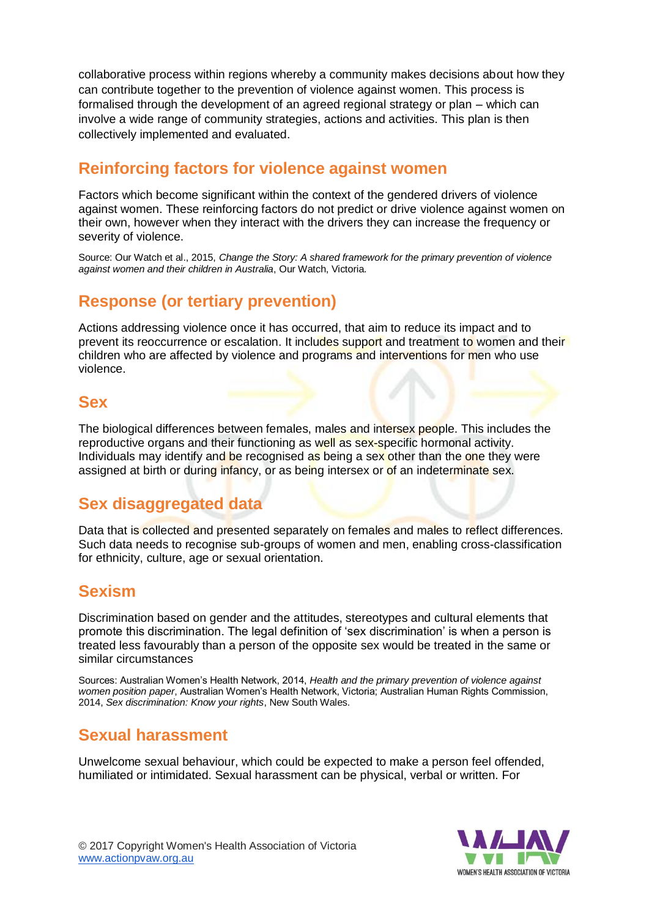collaborative process within regions whereby a community makes decisions about how they can contribute together to the prevention of violence against women. This process is formalised through the development of an agreed regional strategy or plan – which can involve a wide range of community strategies, actions and activities. This plan is then collectively implemented and evaluated.

## **Reinforcing factors for violence against women**

Factors which become significant within the context of the gendered drivers of violence against women. These reinforcing factors do not predict or drive violence against women on their own, however when they interact with the drivers they can increase the frequency or severity of violence.

Source: Our Watch et al., 2015, *Change the Story: A shared framework for the primary prevention of violence against women and their children in Australia*, Our Watch, Victoria.

## **Response (or tertiary prevention)**

Actions addressing violence once it has occurred, that aim to reduce its impact and to prevent its reoccurrence or escalation. It includes support and treatment to women and their children who are affected by violence and programs and interventions for men who use violence.

#### **Sex**

The biological differences between females, males and intersex people. This includes the reproductive organs and their functioning as well as sex-specific hormonal activity. Individuals may identify and be recognised as being a sex other than the one they were assigned at birth or during infancy, or as being intersex or of an indeterminate sex.

### **Sex disaggregated data**

Data that is collected and presented separately on females and males to reflect differences. Such data needs to recognise sub-groups of women and men, enabling cross-classification for ethnicity, culture, age or sexual orientation.

#### **Sexism**

Discrimination based on gender and the attitudes, stereotypes and cultural elements that promote this discrimination. The legal definition of 'sex discrimination' is when a person is treated less favourably than a person of the opposite sex would be treated in the same or similar circumstances

Sources: Australian Women's Health Network, 2014, *Health and the primary prevention of violence against women position paper*, Australian Women's Health Network, Victoria; Australian Human Rights Commission, 2014, *Sex discrimination: Know your rights*, New South Wales.

#### **Sexual harassment**

Unwelcome sexual behaviour, which could be expected to make a person feel offended, humiliated or intimidated. Sexual harassment can be physical, verbal or written. For